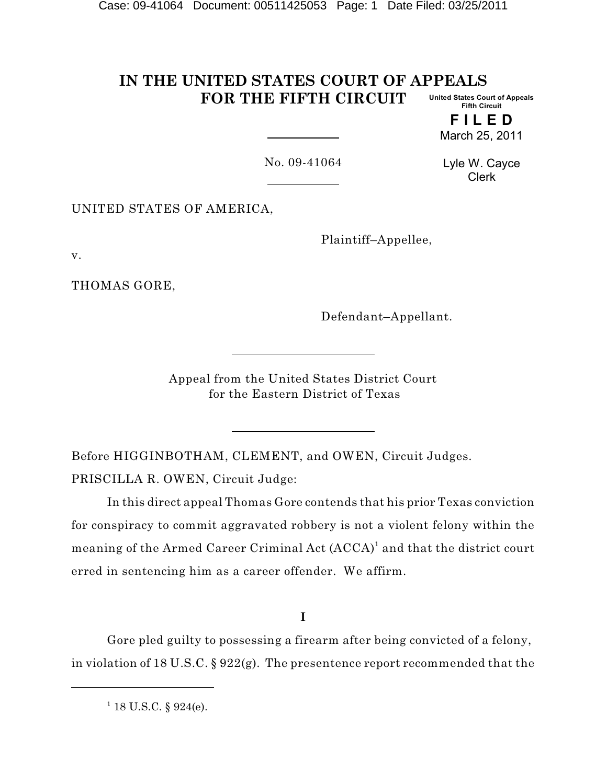#### **IN THE UNITED STATES COURT OF APPEALS FOR THE FIFTH CIRCUIT United States Court of Appeals Fifth Circuit**

**F I L E D** March 25, 2011

No. 09-41064

Lyle W. Cayce Clerk

UNITED STATES OF AMERICA,

Plaintiff–Appellee,

v.

THOMAS GORE,

Defendant–Appellant.

Appeal from the United States District Court for the Eastern District of Texas

Before HIGGINBOTHAM, CLEMENT, and OWEN, Circuit Judges. PRISCILLA R. OWEN, Circuit Judge:

In this direct appeal Thomas Gore contends that his prior Texas conviction for conspiracy to commit aggravated robbery is not a violent felony within the meaning of the Armed Career Criminal Act  $(\mathrm{ACC} \mathrm{A})^1$  and that the district court erred in sentencing him as a career offender. We affirm.

**I**

Gore pled guilty to possessing a firearm after being convicted of a felony, in violation of 18 U.S.C. § 922(g). The presentence report recommended that the

 $1$  18 U.S.C. § 924(e).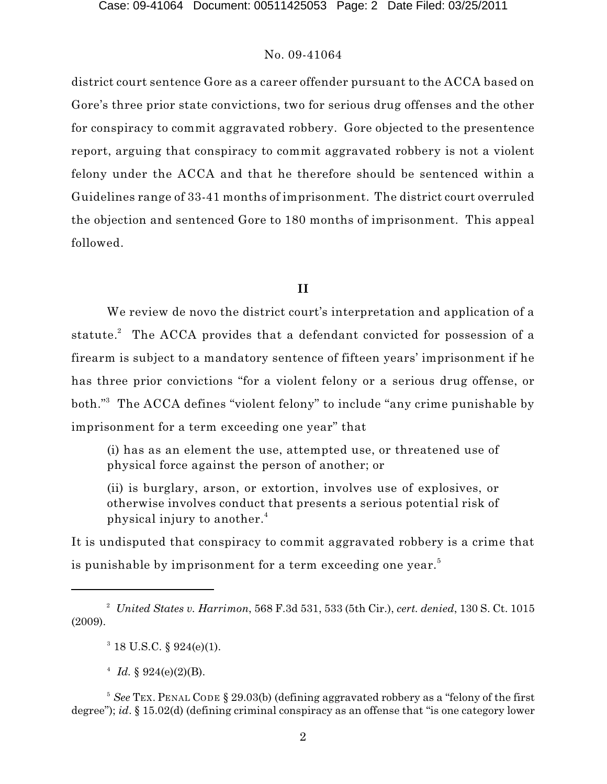district court sentence Gore as a career offender pursuant to the ACCA based on Gore's three prior state convictions, two for serious drug offenses and the other for conspiracy to commit aggravated robbery. Gore objected to the presentence report, arguing that conspiracy to commit aggravated robbery is not a violent felony under the ACCA and that he therefore should be sentenced within a Guidelines range of 33-41 months of imprisonment. The district court overruled the objection and sentenced Gore to 180 months of imprisonment. This appeal followed.

# **II**

We review de novo the district court's interpretation and application of a statute. $^{2}$  The ACCA provides that a defendant convicted for possession of a firearm is subject to a mandatory sentence of fifteen years' imprisonment if he has three prior convictions "for a violent felony or a serious drug offense, or both."<sup>3</sup> The ACCA defines "violent felony" to include "any crime punishable by imprisonment for a term exceeding one year" that

(i) has as an element the use, attempted use, or threatened use of physical force against the person of another; or

(ii) is burglary, arson, or extortion, involves use of explosives, or otherwise involves conduct that presents a serious potential risk of physical injury to another. 4

It is undisputed that conspiracy to commit aggravated robbery is a crime that is punishable by imprisonment for a term exceeding one year. $^5$ 

*United States v. Harrimon*, 568 F.3d 531, 533 (5th Cir.), *cert. denied*, 130 S. Ct. 1015 <sup>2</sup> (2009).

 $3$  18 U.S.C. § 924(e)(1).

<sup>&</sup>lt;sup>4</sup> *Id.* § 924(e)(2)(B).

<sup>&</sup>lt;sup>5</sup> See TEX. PENAL CODE § 29.03(b) (defining aggravated robbery as a "felony of the first degree"); *id*. § 15.02(d) (defining criminal conspiracy as an offense that "is one category lower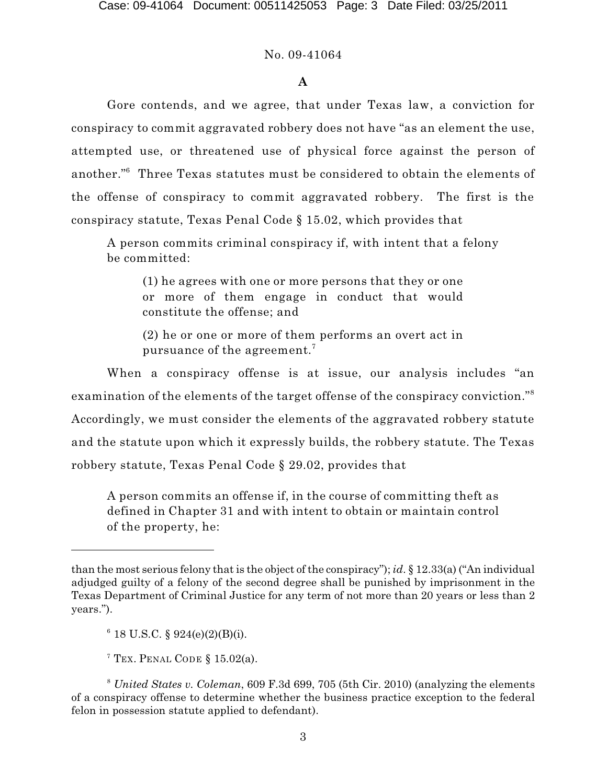## **A**

Gore contends, and we agree, that under Texas law, a conviction for conspiracy to commit aggravated robbery does not have "as an element the use, attempted use, or threatened use of physical force against the person of another."<sup>6</sup> Three Texas statutes must be considered to obtain the elements of the offense of conspiracy to commit aggravated robbery. The first is the conspiracy statute, Texas Penal Code § 15.02, which provides that

A person commits criminal conspiracy if, with intent that a felony be committed:

(1) he agrees with one or more persons that they or one or more of them engage in conduct that would constitute the offense; and

(2) he or one or more of them performs an overt act in pursuance of the agreement. $^7$ 

When a conspiracy offense is at issue, our analysis includes "an examination of the elements of the target offense of the conspiracy conviction." 8 Accordingly, we must consider the elements of the aggravated robbery statute and the statute upon which it expressly builds, the robbery statute. The Texas robbery statute, Texas Penal Code § 29.02, provides that

A person commits an offense if, in the course of committing theft as defined in Chapter 31 and with intent to obtain or maintain control of the property, he:

than the most serious felony that is the object of the conspiracy"); *id*. § 12.33(a) ("An individual adjudged guilty of a felony of the second degree shall be punished by imprisonment in the Texas Department of Criminal Justice for any term of not more than 20 years or less than 2 years.").

 $6$  18 U.S.C. § 924(e)(2)(B)(i).

<sup>&</sup>lt;sup>7</sup> Tex. Penal Code § 15.02(a).

<sup>&</sup>lt;sup>8</sup> United States v. Coleman, 609 F.3d 699, 705 (5th Cir. 2010) (analyzing the elements of a conspiracy offense to determine whether the business practice exception to the federal felon in possession statute applied to defendant).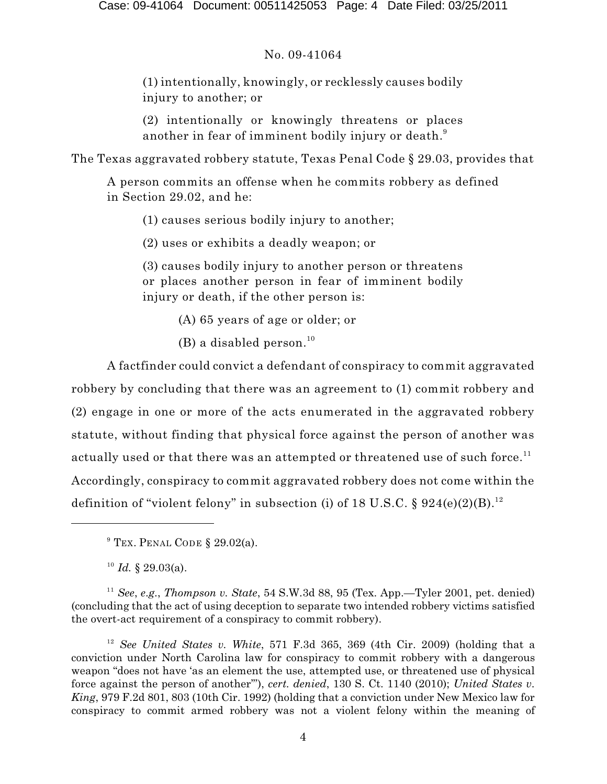(1) intentionally, knowingly, or recklessly causes bodily injury to another; or

(2) intentionally or knowingly threatens or places another in fear of imminent bodily injury or death. $^{\rm 9}$ 

The Texas aggravated robbery statute, Texas Penal Code § 29.03, provides that

A person commits an offense when he commits robbery as defined in Section 29.02, and he:

(1) causes serious bodily injury to another;

(2) uses or exhibits a deadly weapon; or

(3) causes bodily injury to another person or threatens or places another person in fear of imminent bodily injury or death, if the other person is:

(A) 65 years of age or older; or

(B) a disabled person. 10

A factfinder could convict a defendant of conspiracy to commit aggravated robbery by concluding that there was an agreement to (1) commit robbery and (2) engage in one or more of the acts enumerated in the aggravated robbery statute, without finding that physical force against the person of another was actually used or that there was an attempted or threatened use of such force. $^{\rm 11}$ Accordingly, conspiracy to commit aggravated robbery does not come within the definition of "violent felony" in subsection (i) of 18 U.S.C. § 924(e)(2)(B).<sup>12</sup>

<sup>10</sup> Id. § 29.03(a).

<sup>11</sup> See, *e.g.*, *Thompson v. State*, 54 S.W.3d 88, 95 (Tex. App.—Tyler 2001, pet. denied) (concluding that the act of using deception to separate two intended robbery victims satisfied the overt-act requirement of a conspiracy to commit robbery).

<sup>12</sup> See United States v. White, 571 F.3d 365, 369 (4th Cir. 2009) (holding that a conviction under North Carolina law for conspiracy to commit robbery with a dangerous weapon "does not have 'as an element the use, attempted use, or threatened use of physical force against the person of another'"), *cert. denied*, 130 S. Ct. 1140 (2010); *United States v. King*, 979 F.2d 801, 803 (10th Cir. 1992) (holding that a conviction under New Mexico law for conspiracy to commit armed robbery was not a violent felony within the meaning of

 $^9$  Tex. Penal Code § 29.02(a).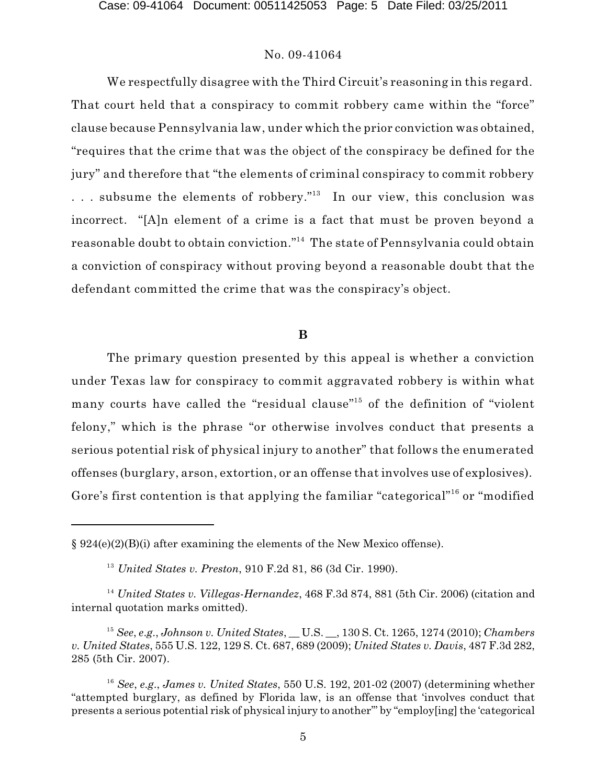We respectfully disagree with the Third Circuit's reasoning in this regard. That court held that a conspiracy to commit robbery came within the "force" clause because Pennsylvania law, under which the prior conviction was obtained, "requires that the crime that was the object of the conspiracy be defined for the jury" and therefore that "the elements of criminal conspiracy to commit robbery ... subsume the elements of robbery."<sup>13</sup> In our view, this conclusion was incorrect. "[A]n element of a crime is a fact that must be proven beyond a reasonable doubt to obtain conviction." $^{14}$  The state of Pennsylvania could obtain a conviction of conspiracy without proving beyond a reasonable doubt that the defendant committed the crime that was the conspiracy's object.

# **B**

The primary question presented by this appeal is whether a conviction under Texas law for conspiracy to commit aggravated robbery is within what many courts have called the "residual clause"<sup>15</sup> of the definition of "violent felony," which is the phrase "or otherwise involves conduct that presents a serious potential risk of physical injury to another" that follows the enumerated offenses (burglary, arson, extortion, or an offense that involves use of explosives). Gore's first contention is that applying the familiar "categorical"<sup>16</sup> or "modified

<sup>§ 924(</sup>e)(2)(B)(i) after examining the elements of the New Mexico offense).

<sup>&</sup>lt;sup>13</sup> United States v. Preston, 910 F.2d 81, 86 (3d Cir. 1990).

<sup>&</sup>lt;sup>14</sup> United States v. *Villegas-Hernandez*, 468 F.3d 874, 881 (5th Cir. 2006) (citation and internal quotation marks omitted).

<sup>&</sup>lt;sup>15</sup> See, e.g., *Johnson v. United States, \_\_ U.S. \_\_, 130 S. Ct. 1265, 1274 (2010); <i>Chambers v. United States*, 555 U.S. 122, 129 S. Ct. 687, 689 (2009); *United States v. Davis*, 487 F.3d 282, 285 (5th Cir. 2007).

*See*, *e*.*g*., *James v. United States*, 550 U.S. 192, 201-02 (2007) (determining whether 16 "attempted burglary, as defined by Florida law, is an offense that 'involves conduct that presents a serious potential risk of physical injury to another'" by "employ[ing] the 'categorical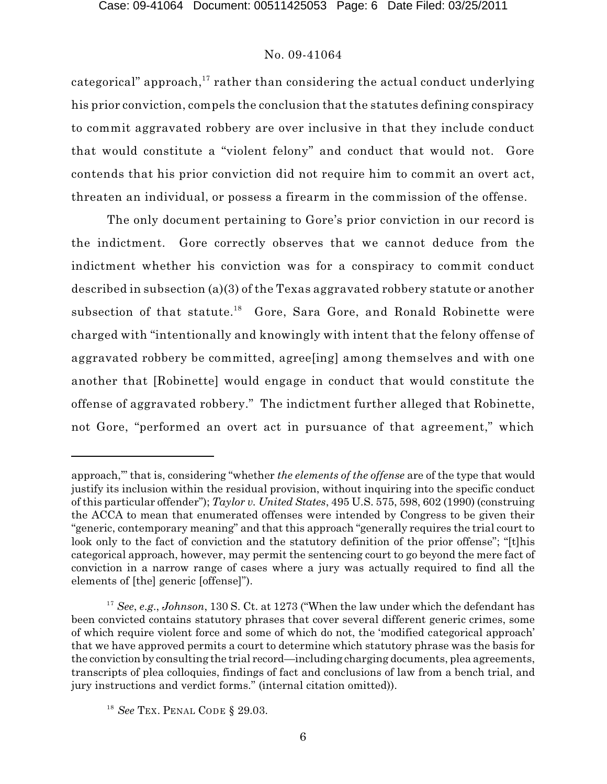categorical" approach, $^{\rm 17}$  rather than considering the actual conduct underlying his prior conviction, compels the conclusion that the statutes defining conspiracy to commit aggravated robbery are over inclusive in that they include conduct that would constitute a "violent felony" and conduct that would not. Gore contends that his prior conviction did not require him to commit an overt act, threaten an individual, or possess a firearm in the commission of the offense.

The only document pertaining to Gore's prior conviction in our record is the indictment. Gore correctly observes that we cannot deduce from the indictment whether his conviction was for a conspiracy to commit conduct described in subsection (a)(3) of the Texas aggravated robbery statute or another subsection of that statute.<sup>18</sup> Gore, Sara Gore, and Ronald Robinette were charged with "intentionally and knowingly with intent that the felony offense of aggravated robbery be committed, agree[ing] among themselves and with one another that [Robinette] would engage in conduct that would constitute the offense of aggravated robbery." The indictment further alleged that Robinette, not Gore, "performed an overt act in pursuance of that agreement," which

approach,'" that is, considering "whether *the elements of the offense* are of the type that would justify its inclusion within the residual provision, without inquiring into the specific conduct of this particular offender"); *Taylor v. United States*, 495 U.S. 575, 598, 602 (1990) (construing the ACCA to mean that enumerated offenses were intended by Congress to be given their "generic, contemporary meaning" and that this approach "generally requires the trial court to look only to the fact of conviction and the statutory definition of the prior offense"; "[t]his categorical approach, however, may permit the sentencing court to go beyond the mere fact of conviction in a narrow range of cases where a jury was actually required to find all the elements of [the] generic [offense]").

<sup>&</sup>lt;sup>17</sup> See, e.g., *Johnson*, 130 S. Ct. at 1273 ("When the law under which the defendant has been convicted contains statutory phrases that cover several different generic crimes, some of which require violent force and some of which do not, the 'modified categorical approach' that we have approved permits a court to determine which statutory phrase was the basis for the conviction by consulting the trial record—including charging documents, plea agreements, transcripts of plea colloquies, findings of fact and conclusions of law from a bench trial, and jury instructions and verdict forms." (internal citation omitted)).

<sup>&</sup>lt;sup>18</sup> See TEX. PENAL CODE § 29.03.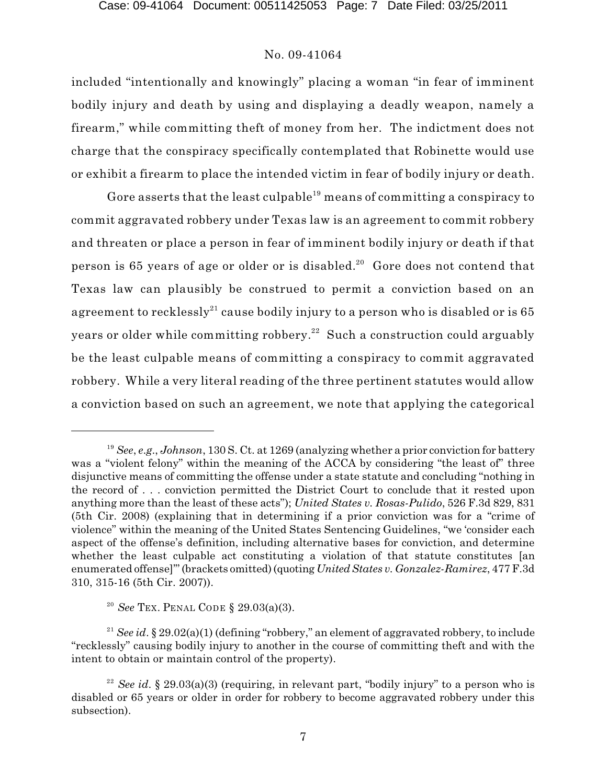included "intentionally and knowingly" placing a woman "in fear of imminent bodily injury and death by using and displaying a deadly weapon, namely a firearm," while committing theft of money from her. The indictment does not charge that the conspiracy specifically contemplated that Robinette would use or exhibit a firearm to place the intended victim in fear of bodily injury or death.

Gore asserts that the least culpable $^{\rm 19}$  means of committing a conspiracy to commit aggravated robbery under Texas law is an agreement to commit robbery and threaten or place a person in fear of imminent bodily injury or death if that person is 65 years of age or older or is disabled. $^{20}$  Gore does not contend that Texas law can plausibly be construed to permit a conviction based on an agreement to recklessly $^{\rm 21}$  cause bodily injury to a person who is disabled or is 65 years or older while committing robbery. $^{22}\,$  Such a construction could arguably be the least culpable means of committing a conspiracy to commit aggravated robbery. While a very literal reading of the three pertinent statutes would allow a conviction based on such an agreement, we note that applying the categorical

<sup>&</sup>lt;sup>19</sup> See, e.g., *Johnson*, 130 S. Ct. at 1269 (analyzing whether a prior conviction for battery was a "violent felony" within the meaning of the ACCA by considering "the least of" three disjunctive means of committing the offense under a state statute and concluding "nothing in the record of . . . conviction permitted the District Court to conclude that it rested upon anything more than the least of these acts"); *United States v. Rosas-Pulido*, 526 F.3d 829, 831 (5th Cir. 2008) (explaining that in determining if a prior conviction was for a "crime of violence" within the meaning of the United States Sentencing Guidelines, "we 'consider each aspect of the offense's definition, including alternative bases for conviction, and determine whether the least culpable act constituting a violation of that statute constitutes [an enumerated offense]'" (brackets omitted)(quoting *UnitedStates v. Gonzalez-Ramirez*, 477 F.3d 310, 315-16 (5th Cir. 2007)).

<sup>&</sup>lt;sup>20</sup> See Tex. Penal Code § 29.03(a)(3).

<sup>&</sup>lt;sup>21</sup> See id. § 29.02(a)(1) (defining "robbery," an element of aggravated robbery, to include "recklessly" causing bodily injury to another in the course of committing theft and with the intent to obtain or maintain control of the property).

<sup>&</sup>lt;sup>22</sup> See id. § 29.03(a)(3) (requiring, in relevant part, "bodily injury" to a person who is disabled or 65 years or older in order for robbery to become aggravated robbery under this subsection).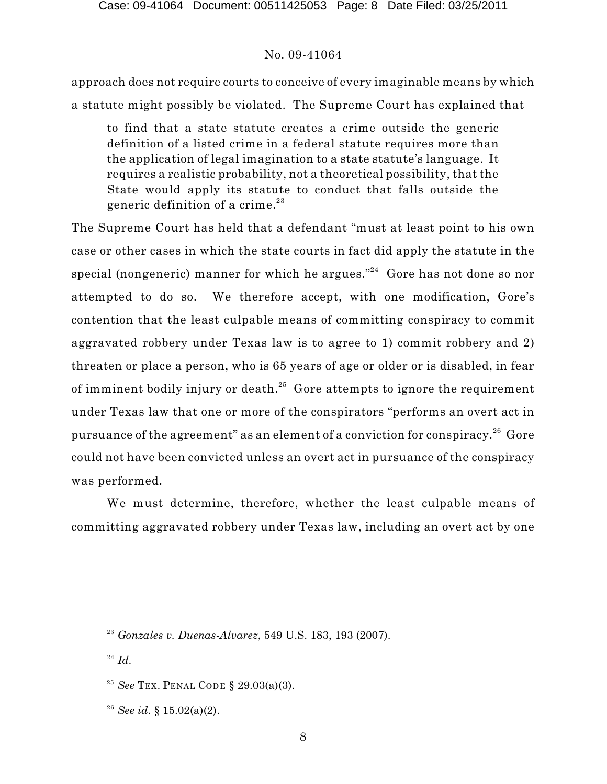approach does not require courts to conceive of every imaginable means by which a statute might possibly be violated. The Supreme Court has explained that

to find that a state statute creates a crime outside the generic definition of a listed crime in a federal statute requires more than the application of legal imagination to a state statute's language. It requires a realistic probability, not a theoretical possibility, that the State would apply its statute to conduct that falls outside the generic definition of a crime. 23

The Supreme Court has held that a defendant "must at least point to his own case or other cases in which the state courts in fact did apply the statute in the special (nongeneric) manner for which he argues." $^{24}$  Gore has not done so nor attempted to do so. We therefore accept, with one modification, Gore's contention that the least culpable means of committing conspiracy to commit aggravated robbery under Texas law is to agree to 1) commit robbery and 2) threaten or place a person, who is 65 years of age or older or is disabled, in fear of imminent bodily injury or death. $^{25}\,$  Gore attempts to ignore the requirement under Texas law that one or more of the conspirators "performs an overt act in pursuance of the agreement" as an element of a conviction for conspiracy. $^{26}$  Gore could not have been convicted unless an overt act in pursuance of the conspiracy was performed.

We must determine, therefore, whether the least culpable means of committing aggravated robbery under Texas law, including an overt act by one

<sup>&</sup>lt;sup>23</sup> Gonzales v. Duenas-Alvarez, 549 U.S. 183, 193 (2007).

 $^{24}$   $Id.$ 

<sup>&</sup>lt;sup>25</sup> See Tex. Penal Code § 29.03(a)(3).

*See id*. § 15.02(a)(2). 26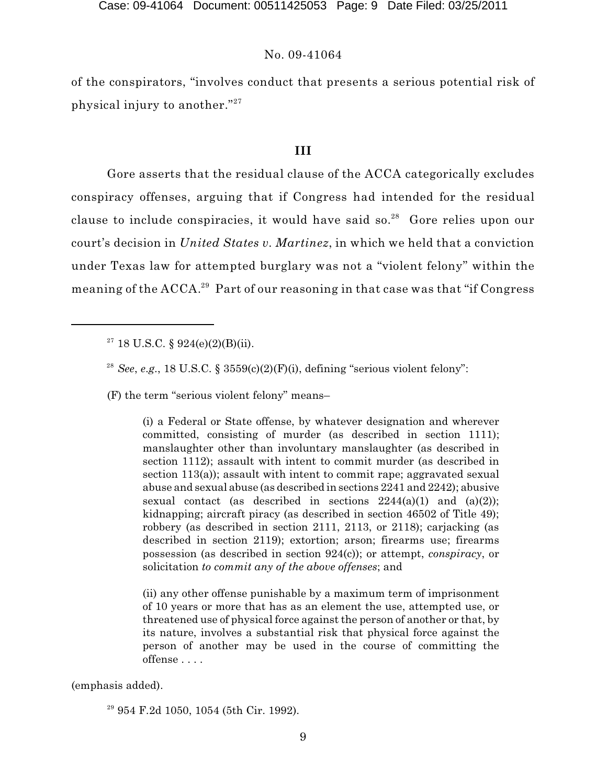of the conspirators, "involves conduct that presents a serious potential risk of physical injury to another."<sup>27</sup>

## **III**

Gore asserts that the residual clause of the ACCA categorically excludes conspiracy offenses, arguing that if Congress had intended for the residual clause to include conspiracies, it would have said so.<sup>28</sup> Gore relies upon our court's decision in *United States v. Martinez*, in which we held that a conviction under Texas law for attempted burglary was not a "violent felony" within the meaning of the ACCA. $^{29}$  Part of our reasoning in that case was that "if Congress

 $2^7$  18 U.S.C. § 924(e)(2)(B)(ii).

<sup>28</sup> See, e.g., 18 U.S.C. §  $3559(c)(2)(F)(i)$ , defining "serious violent felony":

(F) the term "serious violent felony" means–

(i) a Federal or State offense, by whatever designation and wherever committed, consisting of murder (as described in section 1111); manslaughter other than involuntary manslaughter (as described in section 1112); assault with intent to commit murder (as described in section 113(a)); assault with intent to commit rape; aggravated sexual abuse and sexual abuse (as described in sections 2241 and 2242); abusive sexual contact (as described in sections  $2244(a)(1)$  and  $(a)(2)$ ); kidnapping; aircraft piracy (as described in section 46502 of Title 49); robbery (as described in section 2111, 2113, or 2118); carjacking (as described in section 2119); extortion; arson; firearms use; firearms possession (as described in section 924(c)); or attempt, *conspiracy*, or solicitation *to commit any of the above offenses*; and

(ii) any other offense punishable by a maximum term of imprisonment of 10 years or more that has as an element the use, attempted use, or threatened use of physical force against the person of another or that, by its nature, involves a substantial risk that physical force against the person of another may be used in the course of committing the offense . . . .

(emphasis added).

 $29$  954 F.2d 1050, 1054 (5th Cir. 1992).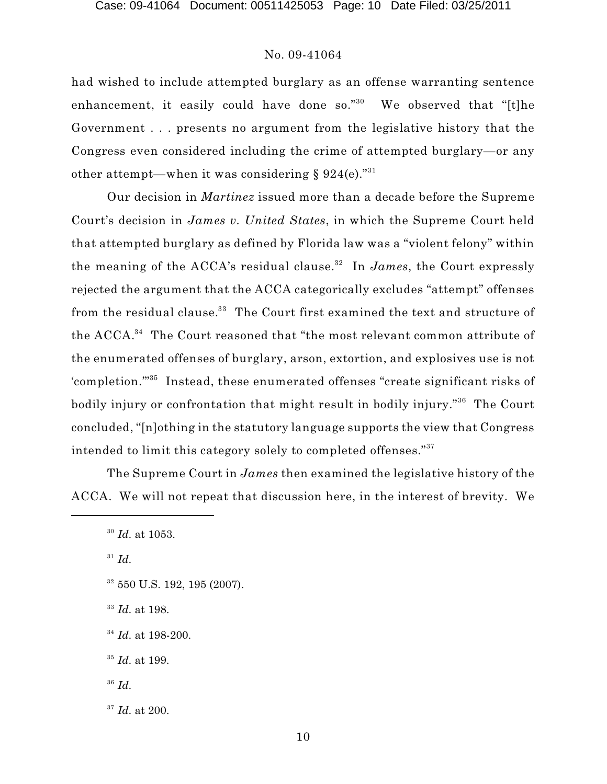had wished to include attempted burglary as an offense warranting sentence enhancement, it easily could have done so."<sup>30</sup> We observed that "[t]he Government . . . presents no argument from the legislative history that the Congress even considered including the crime of attempted burglary—or any other attempt—when it was considering § 924(e)." $^{\rm 31}$ 

Our decision in *Martinez* issued more than a decade before the Supreme Court's decision in *James v. United States*, in which the Supreme Court held that attempted burglary as defined by Florida law was a "violent felony" within the meaning of the ACCA's residual clause.<sup>32</sup> In *James*, the Court expressly rejected the argument that the ACCA categorically excludes "attempt" offenses from the residual clause. $^{\rm 33}$  The Court first examined the text and structure of the ACCA. $^{34}$  The Court reasoned that "the most relevant common attribute of the enumerated offenses of burglary, arson, extortion, and explosives use is not 'completion."<sup>35</sup> Instead, these enumerated offenses "create significant risks of bodily injury or confrontation that might result in bodily injury."<sup>36</sup> The Court concluded, "[n]othing in the statutory language supports the view that Congress intended to limit this category solely to completed offenses." 37

The Supreme Court in *James* then examined the legislative history of the ACCA. We will not repeat that discussion here, in the interest of brevity. We

 $^{31}$  *Id*.

- $32\,550$  U.S. 192, 195 (2007).
- <sup>33</sup> Id. at 198.
- $^{34}$  *Id.* at 198-200.
- <sup>35</sup> *Id.* at 199.
- *Id*. 36
- <sup>37</sup> *Id.* at 200.

<sup>&</sup>lt;sup>30</sup> Id. at 1053.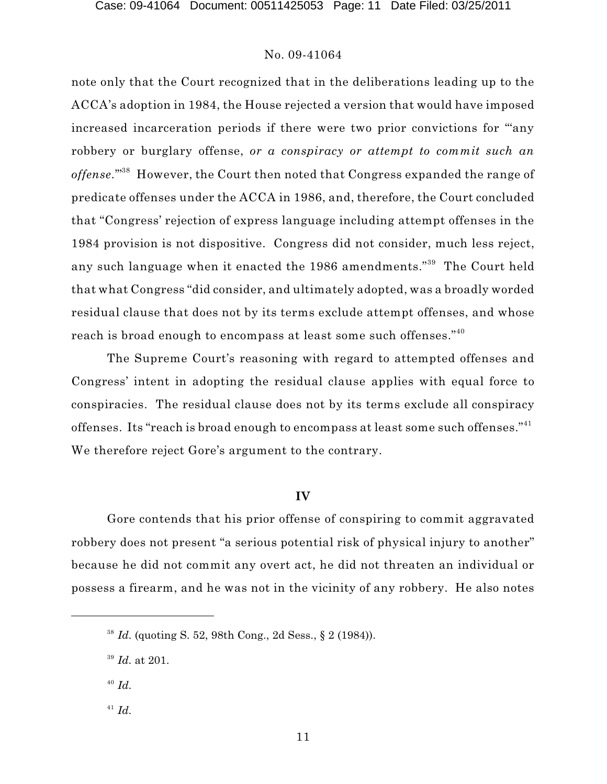note only that the Court recognized that in the deliberations leading up to the ACCA's adoption in 1984, the House rejected a version that would have imposed increased incarceration periods if there were two prior convictions for "'any robbery or burglary offense, *or a conspiracy or attempt to commit such an* offense."<sup>38</sup> However, the Court then noted that Congress expanded the range of predicate offenses under the ACCA in 1986, and, therefore, the Court concluded that "Congress' rejection of express language including attempt offenses in the 1984 provision is not dispositive. Congress did not consider, much less reject, any such language when it enacted the 1986 amendments."<sup>39</sup> The Court held that what Congress "did consider, and ultimately adopted, was a broadly worded residual clause that does not by its terms exclude attempt offenses, and whose reach is broad enough to encompass at least some such offenses." $^{\scriptscriptstyle 40}$ 

The Supreme Court's reasoning with regard to attempted offenses and Congress' intent in adopting the residual clause applies with equal force to conspiracies. The residual clause does not by its terms exclude all conspiracy offenses. Its "reach is broad enough to encompass at least some such offenses." $^{\scriptscriptstyle 41}$ We therefore reject Gore's argument to the contrary.

# **IV**

Gore contends that his prior offense of conspiring to commit aggravated robbery does not present "a serious potential risk of physical injury to another" because he did not commit any overt act, he did not threaten an individual or possess a firearm, and he was not in the vicinity of any robbery. He also notes

- *Id*. 40
- $^{41}$  *Id*.

<sup>&</sup>lt;sup>38</sup> *Id.* (quoting S. 52, 98th Cong., 2d Sess.,  $\S$  2 (1984)).

<sup>&</sup>lt;sup>39</sup> *Id.* at 201.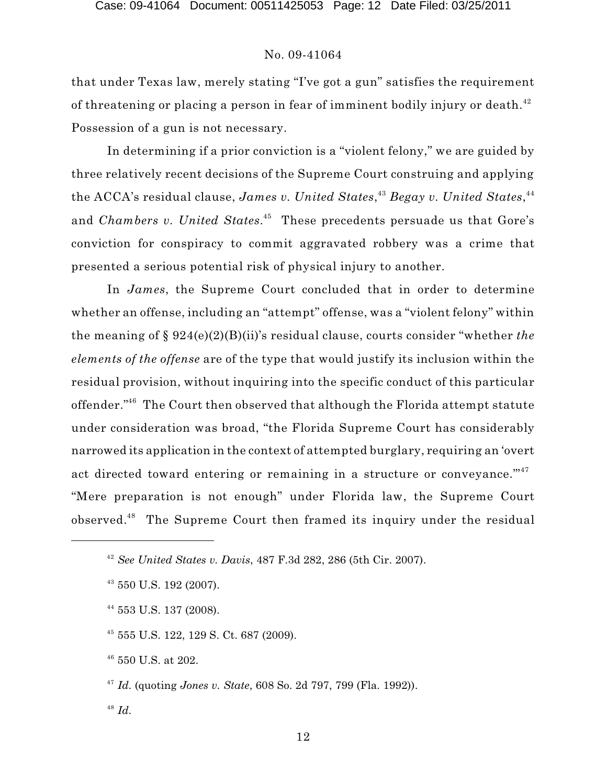that under Texas law, merely stating "I've got a gun" satisfies the requirement of threatening or placing a person in fear of imminent bodily injury or death. $^{42}$ Possession of a gun is not necessary.

In determining if a prior conviction is a "violent felony," we are guided by three relatively recent decisions of the Supreme Court construing and applying the ACCA's residual clause, *James v. United States*,<sup>43</sup> Begay v. United States,<sup>44</sup> and *Chambers v. United States*.<sup>45</sup> These precedents persuade us that Gore's conviction for conspiracy to commit aggravated robbery was a crime that presented a serious potential risk of physical injury to another.

In *James*, the Supreme Court concluded that in order to determine whether an offense, including an "attempt" offense, was a "violent felony" within the meaning of § 924(e)(2)(B)(ii)'s residual clause, courts consider "whether *the elements of the offense* are of the type that would justify its inclusion within the residual provision, without inquiring into the specific conduct of this particular offender." $^{46}$  The Court then observed that although the Florida attempt statute under consideration was broad, "the Florida Supreme Court has considerably narrowed its application in the context of attempted burglary, requiring an 'overt act directed toward entering or remaining in a structure or conveyance."<sup>47</sup> "Mere preparation is not enough" under Florida law, the Supreme Court observed.<sup>48</sup> The Supreme Court then framed its inquiry under the residual

<sup>45</sup> 555 U.S. 122, 129 S. Ct. 687 (2009).

 $46$  550 U.S. at 202.

<sup>47</sup> Id. (quoting *Jones v. State*, 608 So. 2d 797, 799 (Fla. 1992)).

*Id*. 48

*See United States v. Davis*, 487 F.3d 282, 286 (5th Cir. 2007). 42

<sup>&</sup>lt;sup>43</sup> 550 U.S. 192 (2007).

<sup>&</sup>lt;sup>44</sup> 553 U.S. 137 (2008).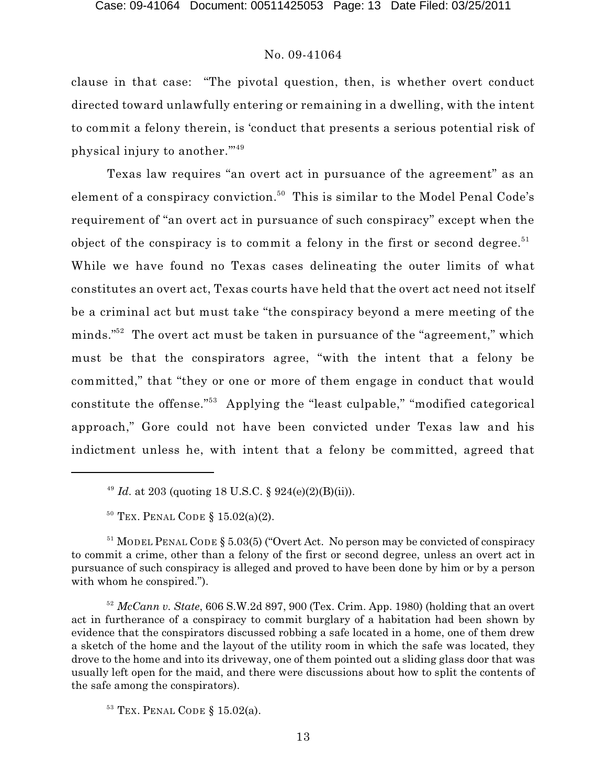clause in that case: "The pivotal question, then, is whether overt conduct directed toward unlawfully entering or remaining in a dwelling, with the intent to commit a felony therein, is 'conduct that presents a serious potential risk of physical injury to another.'" 49

Texas law requires "an overt act in pursuance of the agreement" as an element of a conspiracy conviction.<sup>50</sup> This is similar to the Model Penal Code's requirement of "an overt act in pursuance of such conspiracy" except when the object of the conspiracy is to commit a felony in the first or second degree.<sup>51</sup> While we have found no Texas cases delineating the outer limits of what constitutes an overt act, Texas courts have held that the overt act need not itself be a criminal act but must take "the conspiracy beyond a mere meeting of the minds."<sup>52</sup> The overt act must be taken in pursuance of the "agreement," which must be that the conspirators agree, "with the intent that a felony be committed," that "they or one or more of them engage in conduct that would constitute the offense."<sup>53</sup> Applying the "least culpable," "modified categorical approach," Gore could not have been convicted under Texas law and his indictment unless he, with intent that a felony be committed, agreed that

<sup>&</sup>lt;sup>49</sup> *Id.* at 203 (quoting 18 U.S.C. § 924(e)(2)(B)(ii)).

 $50$  Tex. Penal Code § 15.02(a)(2).

 $51$  MODEL PENAL CODE § 5.03(5) ("Overt Act. No person may be convicted of conspiracy to commit a crime, other than a felony of the first or second degree, unless an overt act in pursuance of such conspiracy is alleged and proved to have been done by him or by a person with whom he conspired.").

 $52$  *McCann v. State*, 606 S.W.2d 897, 900 (Tex. Crim. App. 1980) (holding that an overt act in furtherance of a conspiracy to commit burglary of a habitation had been shown by evidence that the conspirators discussed robbing a safe located in a home, one of them drew a sketch of the home and the layout of the utility room in which the safe was located, they drove to the home and into its driveway, one of them pointed out a sliding glass door that was usually left open for the maid, and there were discussions about how to split the contents of the safe among the conspirators).

 $53$  Tex. Penal Code § 15.02(a).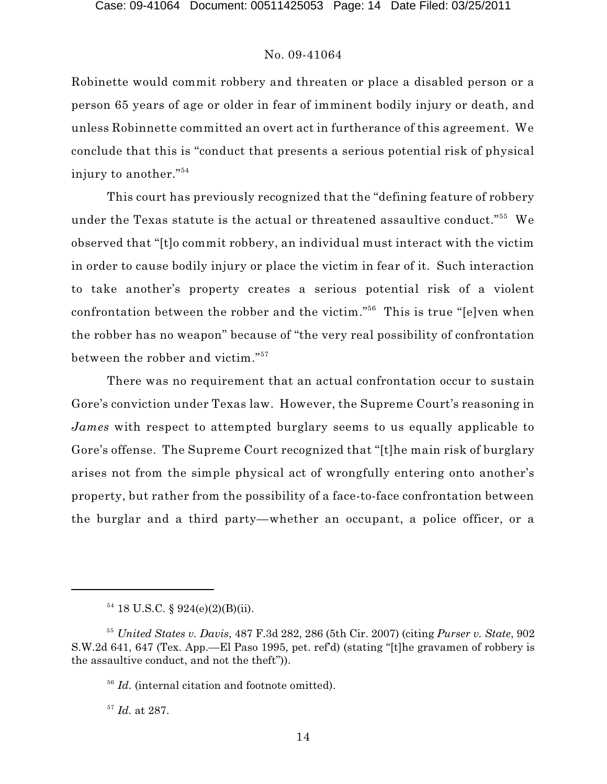Robinette would commit robbery and threaten or place a disabled person or a person 65 years of age or older in fear of imminent bodily injury or death, and unless Robinnette committed an overt act in furtherance of this agreement. We conclude that this is "conduct that presents a serious potential risk of physical injury to another." 54

This court has previously recognized that the "defining feature of robbery under the Texas statute is the actual or threatened assaultive conduct." $^{55}$  We observed that "[t]o commit robbery, an individual must interact with the victim in order to cause bodily injury or place the victim in fear of it. Such interaction to take another's property creates a serious potential risk of a violent confrontation between the robber and the victim."<sup>56</sup> This is true "[e]ven when the robber has no weapon" because of "the very real possibility of confrontation between the robber and victim." 57

There was no requirement that an actual confrontation occur to sustain Gore's conviction under Texas law. However, the Supreme Court's reasoning in *James* with respect to attempted burglary seems to us equally applicable to Gore's offense. The Supreme Court recognized that "[t]he main risk of burglary arises not from the simple physical act of wrongfully entering onto another's property, but rather from the possibility of a face-to-face confrontation between the burglar and a third party—whether an occupant, a police officer, or a

 $^{57}$  *Id.* at 287.

 $54$  18 U.S.C. § 924(e)(2)(B)(ii).

<sup>&</sup>lt;sup>55</sup> United States v. Davis, 487 F.3d 282, 286 (5th Cir. 2007) (citing *Purser v. State*, 902 S.W.2d 641, 647 (Tex. App.—El Paso 1995, pet. ref'd) (stating "[t]he gravamen of robbery is the assaultive conduct, and not the theft")).

<sup>&</sup>lt;sup>56</sup> Id. (internal citation and footnote omitted).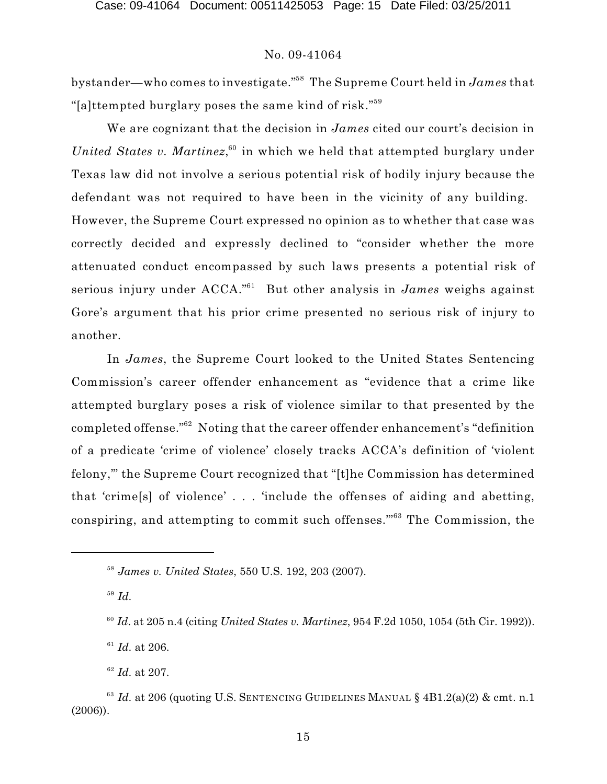bystander—who comes to investigate."<sup>58</sup> The Supreme Court held in *James* that "[a]ttempted burglary poses the same kind of risk." 59

We are cognizant that the decision in *James* cited our court's decision in *United States v. Martinez*,<sup>60</sup> in which we held that attempted burglary under Texas law did not involve a serious potential risk of bodily injury because the defendant was not required to have been in the vicinity of any building. However, the Supreme Court expressed no opinion as to whether that case was correctly decided and expressly declined to "consider whether the more attenuated conduct encompassed by such laws presents a potential risk of serious injury under ACCA."<sup>61</sup> But other analysis in *James* weighs against Gore's argument that his prior crime presented no serious risk of injury to another.

In *James*, the Supreme Court looked to the United States Sentencing Commission's career offender enhancement as "evidence that a crime like attempted burglary poses a risk of violence similar to that presented by the completed offense." $^{62}$  Noting that the career offender enhancement's "definition of a predicate 'crime of violence' closely tracks ACCA's definition of 'violent felony,'" the Supreme Court recognized that "[t]he Commission has determined that 'crime[s] of violence' . . . 'include the offenses of aiding and abetting, conspiring, and attempting to commit such offenses."<sup>63</sup> The Commission, the

*Id*. 59

 $^{61}$  *Id.* at 206.

 $^{62}$  *Id.* at 207.

<sup>&</sup>lt;sup>58</sup> James v. United States, 550 U.S. 192, 203 (2007).

<sup>&</sup>lt;sup>60</sup> Id. at 205 n.4 (citing *United States v. Martinez*, 954 F.2d 1050, 1054 (5th Cir. 1992)).

<sup>&</sup>lt;sup>63</sup> Id. at 206 (quoting U.S. SENTENCING GUIDELINES MANUAL §  $4B1.2(a)(2)$  & cmt. n.1 (2006)).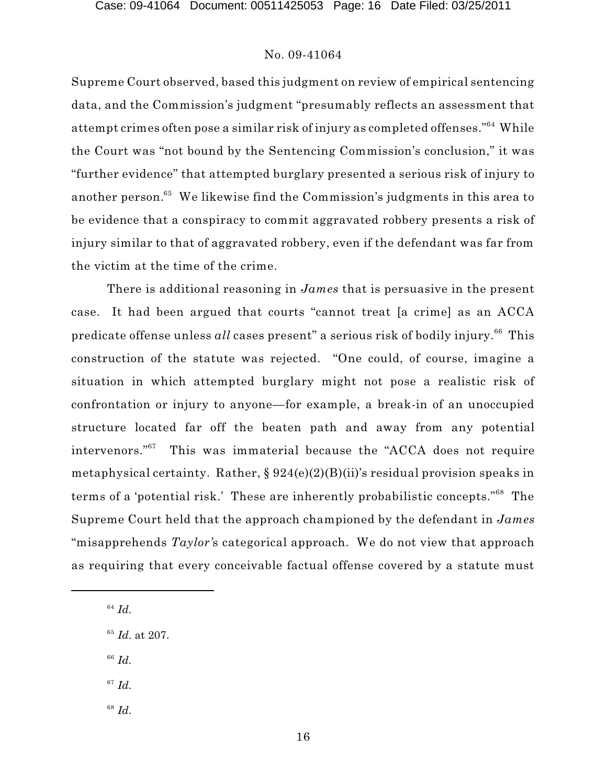Supreme Court observed, based this judgment on review of empirical sentencing data, and the Commission's judgment "presumably reflects an assessment that attempt crimes often pose a similar risk of injury as completed offenses."<sup>64</sup> While the Court was "not bound by the Sentencing Commission's conclusion," it was "further evidence" that attempted burglary presented a serious risk of injury to another person. $^{65}\,$  We likewise find the Commission's judgments in this area to be evidence that a conspiracy to commit aggravated robbery presents a risk of injury similar to that of aggravated robbery, even if the defendant was far from the victim at the time of the crime.

There is additional reasoning in *James* that is persuasive in the present case. It had been argued that courts "cannot treat [a crime] as an ACCA predicate offense unless  $all$  cases present" a serious risk of bodily injury. $^{66}$  This construction of the statute was rejected. "One could, of course, imagine a situation in which attempted burglary might not pose a realistic risk of confrontation or injury to anyone—for example, a break-in of an unoccupied structure located far off the beaten path and away from any potential intervenors." $67$  This was immaterial because the "ACCA does not require metaphysical certainty. Rather,  $\S 924(e)(2)(B)(ii)$ 's residual provision speaks in terms of a 'potential risk.' These are inherently probabilistic concepts."<sup>68</sup> The Supreme Court held that the approach championed by the defendant in *James* "misapprehends *Taylor'*s categorical approach. We do not view that approach as requiring that every conceivable factual offense covered by a statute must

- *Id*. 66
- $^{67}$   $Id.$
- *Id*. 68

*Id*. 64

<sup>&</sup>lt;sup>65</sup> Id. at 207.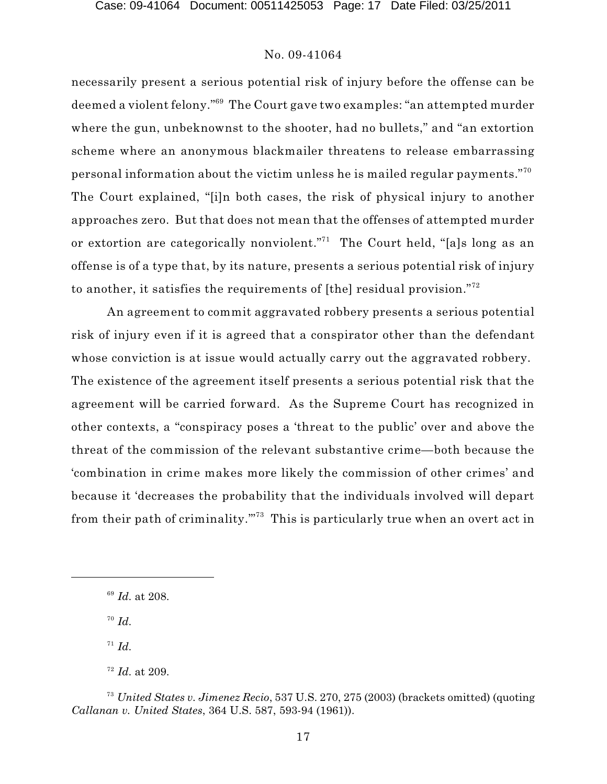necessarily present a serious potential risk of injury before the offense can be deemed a violent felony."<sup>69</sup> The Court gave two examples: "an attempted murder where the gun, unbeknownst to the shooter, had no bullets," and "an extortion scheme where an anonymous blackmailer threatens to release embarrassing personal information about the victim unless he is mailed regular payments." $^{\rm 70}$ The Court explained, "[i]n both cases, the risk of physical injury to another approaches zero. But that does not mean that the offenses of attempted murder or extortion are categorically nonviolent."<sup>71</sup> The Court held, "[a]s long as an offense is of a type that, by its nature, presents a serious potential risk of injury to another, it satisfies the requirements of [the] residual provision." $^{72}$ 

An agreement to commit aggravated robbery presents a serious potential risk of injury even if it is agreed that a conspirator other than the defendant whose conviction is at issue would actually carry out the aggravated robbery. The existence of the agreement itself presents a serious potential risk that the agreement will be carried forward. As the Supreme Court has recognized in other contexts, a "conspiracy poses a 'threat to the public' over and above the threat of the commission of the relevant substantive crime—both because the 'combination in crime makes more likely the commission of other crimes' and because it 'decreases the probability that the individuals involved will depart from their path of criminality."<sup>73</sup> This is particularly true when an overt act in

*Id*. 70

 $I^1$  *Id.* 

 $^{69}$  *Id.* at 208.

 $I^2$  *Id.* at 209.

*United States v. Jimenez Recio*, 537 U.S. 270, 275 (2003) (brackets omitted) (quoting <sup>73</sup> *Callanan v. United States*, 364 U.S. 587, 593-94 (1961)).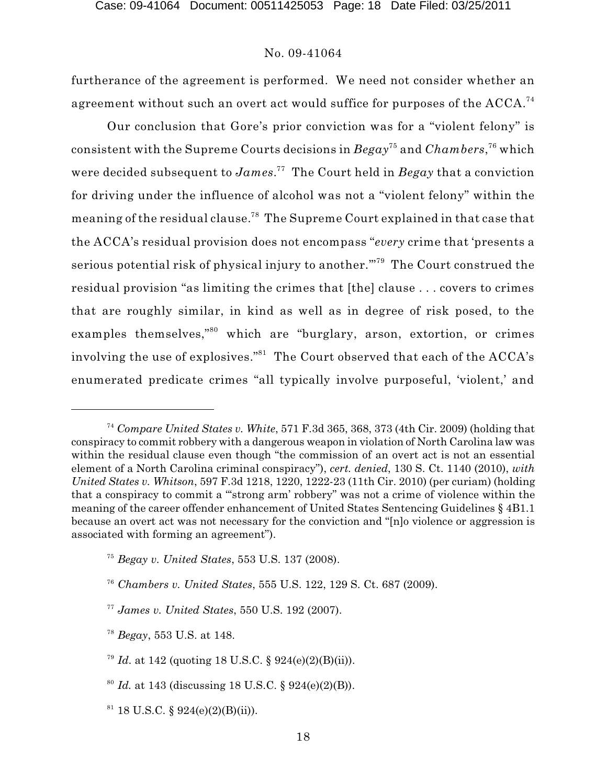furtherance of the agreement is performed. We need not consider whether an agreement without such an overt act would suffice for purposes of the ACCA. $^{\rm 74}$ 

Our conclusion that Gore's prior conviction was for a "violent felony" is consistent with the Supreme Courts decisions in  $Begay^{75}$  and  $Chambers, ^{76}$  which were decided subsequent to *James.*<sup>77</sup> The Court held in *Begay* that a conviction for driving under the influence of alcohol was not a "violent felony" within the meaning of the residual clause.<sup>78</sup> The Supreme Court explained in that case that the ACCA's residual provision does not encompass "*every* crime that 'presents a serious potential risk of physical injury to another."<sup>79</sup> The Court construed the residual provision "as limiting the crimes that [the] clause . . . covers to crimes that are roughly similar, in kind as well as in degree of risk posed, to the examples themselves,"<sup>80</sup> which are "burglary, arson, extortion, or crimes involving the use of explosives." $^{81}$  The Court observed that each of the ACCA's enumerated predicate crimes "all typically involve purposeful, 'violent,' and

<sup>&</sup>lt;sup>74</sup> Compare United States v. White, 571 F.3d 365, 368, 373 (4th Cir. 2009) (holding that conspiracy to commit robbery with a dangerous weapon in violation of North Carolina law was within the residual clause even though "the commission of an overt act is not an essential element of a North Carolina criminal conspiracy"), *cert. denied*, 130 S. Ct. 1140 (2010), *with United States v. Whitson*, 597 F.3d 1218, 1220, 1222-23 (11th Cir. 2010) (per curiam) (holding that a conspiracy to commit a "'strong arm' robbery" was not a crime of violence within the meaning of the career offender enhancement of United States Sentencing Guidelines § 4B1.1 because an overt act was not necessary for the conviction and "[n]o violence or aggression is associated with forming an agreement").

*Begay v. United States*, 553 U.S. 137 (2008). 75

<sup>&</sup>lt;sup>76</sup> Chambers v. United States, 555 U.S. 122, 129 S. Ct. 687 (2009).

*James v. United States*, 550 U.S. 192 (2007). 77

<sup>&</sup>lt;sup>78</sup> Begay, 553 U.S. at 148.

<sup>&</sup>lt;sup>79</sup> *Id.* at 142 (quoting 18 U.S.C. § 924(e)(2)(B)(ii)).

 $^{80}$  *Id.* at 143 (discussing 18 U.S.C. § 924(e)(2)(B)).

 $81$  18 U.S.C. § 924(e)(2)(B)(ii)).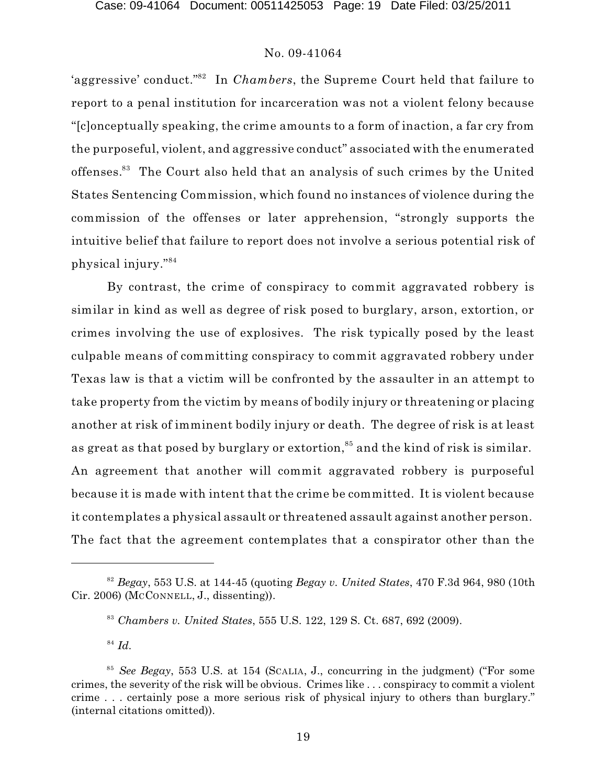'aggressive' conduct."<sup>82</sup> In *Chambers*, the Supreme Court held that failure to report to a penal institution for incarceration was not a violent felony because "[c]onceptually speaking, the crime amounts to a form of inaction, a far cry from the purposeful, violent, and aggressive conduct" associated with the enumerated offenses.<sup>83</sup> The Court also held that an analysis of such crimes by the United States Sentencing Commission, which found no instances of violence during the commission of the offenses or later apprehension, "strongly supports the intuitive belief that failure to report does not involve a serious potential risk of physical injury." 84

By contrast, the crime of conspiracy to commit aggravated robbery is similar in kind as well as degree of risk posed to burglary, arson, extortion, or crimes involving the use of explosives. The risk typically posed by the least culpable means of committing conspiracy to commit aggravated robbery under Texas law is that a victim will be confronted by the assaulter in an attempt to take property from the victim by means of bodily injury or threatening or placing another at risk of imminent bodily injury or death. The degree of risk is at least as great as that posed by burglary or extortion, $^{85}$  and the kind of risk is similar. An agreement that another will commit aggravated robbery is purposeful because it is made with intent that the crime be committed. It is violent because it contemplates a physical assault or threatened assault against another person. The fact that the agreement contemplates that a conspirator other than the

 $B^2$  *Begay*, 553 U.S. at 144-45 (quoting *Begay v. United States*, 470 F.3d 964, 980 (10th Cir. 2006) (MCCONNELL, J., dissenting)).

*Chambers v. United States*, 555 U.S. 122, 129 S. Ct. 687, 692 (2009). 83

*Id*. 84

*See Begay*, 553 U.S. at 154 (SCALIA, J., concurring in the judgment) ("For some <sup>85</sup> crimes, the severity of the risk will be obvious. Crimes like . . . conspiracy to commit a violent crime . . . certainly pose a more serious risk of physical injury to others than burglary." (internal citations omitted)).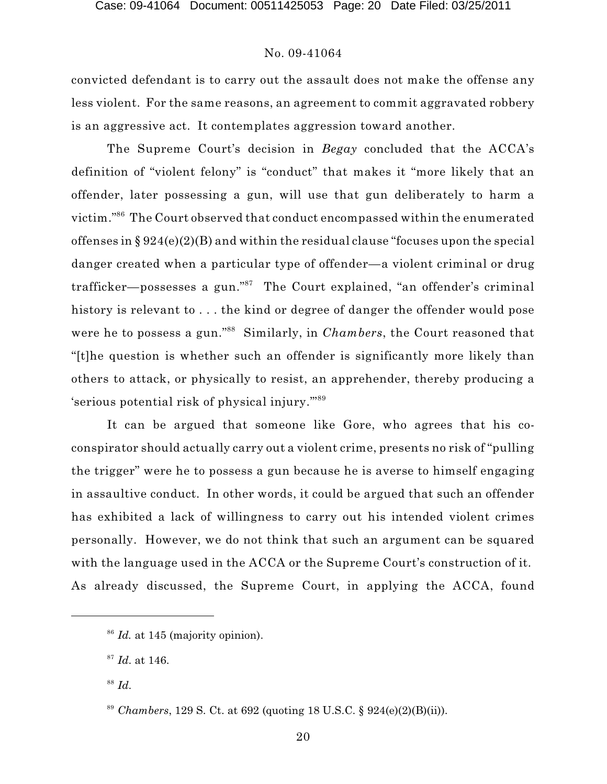convicted defendant is to carry out the assault does not make the offense any less violent. For the same reasons, an agreement to commit aggravated robbery is an aggressive act. It contemplates aggression toward another.

The Supreme Court's decision in *Begay* concluded that the ACCA's definition of "violent felony" is "conduct" that makes it "more likely that an offender, later possessing a gun, will use that gun deliberately to harm a victim." $^{86}$  The Court observed that conduct encompassed within the enumerated offenses in § 924(e)(2)(B) and within the residual clause "focuses upon the special danger created when a particular type of offender—a violent criminal or drug trafficker—possesses a gun."<sup>87</sup> The Court explained, "an offender's criminal history is relevant to ... the kind or degree of danger the offender would pose were he to possess a gun."<sup>88</sup> Similarly, in *Chambers*, the Court reasoned that "[t]he question is whether such an offender is significantly more likely than others to attack, or physically to resist, an apprehender, thereby producing a 'serious potential risk of physical injury.'" 89

It can be argued that someone like Gore, who agrees that his coconspirator should actually carry out a violent crime, presents no risk of "pulling the trigger" were he to possess a gun because he is averse to himself engaging in assaultive conduct. In other words, it could be argued that such an offender has exhibited a lack of willingness to carry out his intended violent crimes personally. However, we do not think that such an argument can be squared with the language used in the ACCA or the Supreme Court's construction of it. As already discussed, the Supreme Court, in applying the ACCA, found

<sup>&</sup>lt;sup>86</sup> Id. at 145 (majority opinion).

<sup>&</sup>lt;sup>87</sup> Id. at 146.

*Id*. 88

<sup>&</sup>lt;sup>89</sup> *Chambers*, 129 S. Ct. at 692 (quoting 18 U.S.C. § 924(e)(2)(B)(ii)).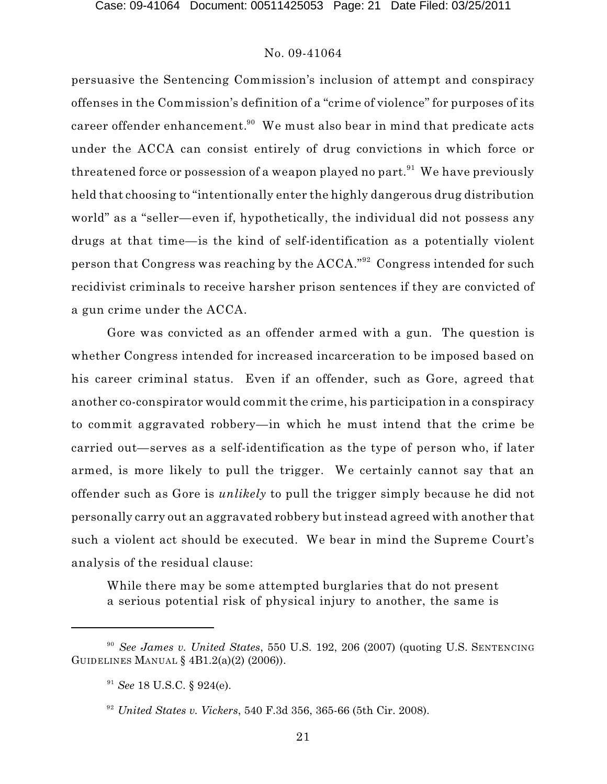persuasive the Sentencing Commission's inclusion of attempt and conspiracy offenses in the Commission's definition of a "crime of violence" for purposes of its career offender enhancement. $^{\textrm{90}}$  We must also bear in mind that predicate acts under the ACCA can consist entirely of drug convictions in which force or threatened force or possession of a weapon played no part. $^{91}$  We have previously held that choosing to "intentionally enter the highly dangerous drug distribution world" as a "seller—even if, hypothetically, the individual did not possess any drugs at that time—is the kind of self-identification as a potentially violent person that Congress was reaching by the ACCA." $^{\hspace{0.1em},\mathrm{92}}$  Congress intended for such recidivist criminals to receive harsher prison sentences if they are convicted of a gun crime under the ACCA.

Gore was convicted as an offender armed with a gun. The question is whether Congress intended for increased incarceration to be imposed based on his career criminal status. Even if an offender, such as Gore, agreed that another co-conspirator would commit the crime, his participation in a conspiracy to commit aggravated robbery—in which he must intend that the crime be carried out—serves as a self-identification as the type of person who, if later armed, is more likely to pull the trigger. We certainly cannot say that an offender such as Gore is *unlikely* to pull the trigger simply because he did not personally carry out an aggravated robbery but instead agreed with another that such a violent act should be executed. We bear in mind the Supreme Court's analysis of the residual clause:

While there may be some attempted burglaries that do not present a serious potential risk of physical injury to another, the same is

*See James v. United States*, 550 U.S. 192, 206 (2007) (quoting U.S. SENTENCING 90 GUIDELINES MANUAL § 4B1.2(a)(2) (2006)).

 $^{91}$  *See* 18 U.S.C. § 924(e).

<sup>&</sup>lt;sup>92</sup> United States v. Vickers, 540 F.3d 356, 365-66 (5th Cir. 2008).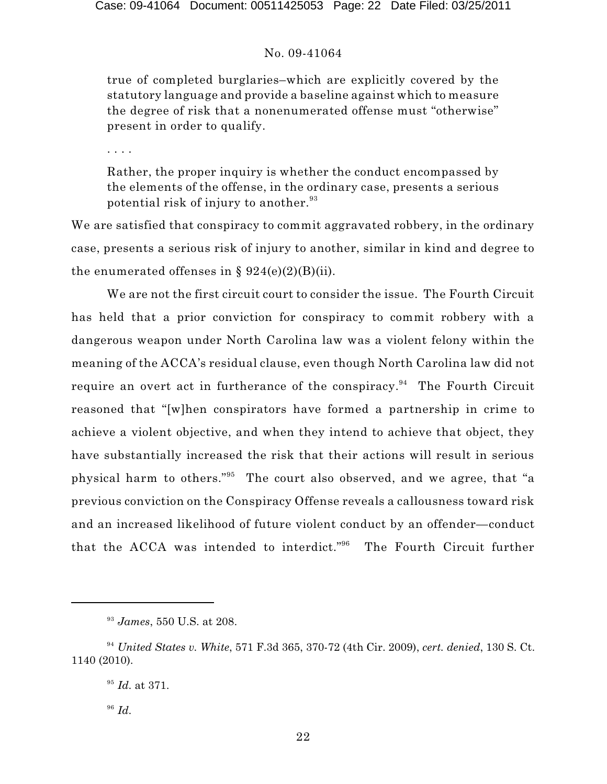true of completed burglaries–which are explicitly covered by the statutory language and provide a baseline against which to measure the degree of risk that a nonenumerated offense must "otherwise" present in order to qualify.

. . . .

Rather, the proper inquiry is whether the conduct encompassed by the elements of the offense, in the ordinary case, presents a serious potential risk of injury to another. 93

We are satisfied that conspiracy to commit aggravated robbery, in the ordinary case, presents a serious risk of injury to another, similar in kind and degree to the enumerated offenses in §  $924(e)(2)(B)(ii)$ .

We are not the first circuit court to consider the issue. The Fourth Circuit has held that a prior conviction for conspiracy to commit robbery with a dangerous weapon under North Carolina law was a violent felony within the meaning of the ACCA's residual clause, even though North Carolina law did not require an overt act in furtherance of the conspiracy.<sup>94</sup> The Fourth Circuit reasoned that "[w]hen conspirators have formed a partnership in crime to achieve a violent objective, and when they intend to achieve that object, they have substantially increased the risk that their actions will result in serious physical harm to others."<sup>95</sup> The court also observed, and we agree, that "a previous conviction on the Conspiracy Offense reveals a callousness toward risk and an increased likelihood of future violent conduct by an offender—conduct that the ACCA was intended to interdict."<sup>96</sup> The Fourth Circuit further

*Id*. 96

<sup>&</sup>lt;sup>93</sup> James, 550 U.S. at 208.

<sup>&</sup>lt;sup>94</sup> United States v. White, 571 F.3d 365, 370-72 (4th Cir. 2009), *cert. denied*, 130 S. Ct. 1140 (2010).

<sup>&</sup>lt;sup>95</sup> *Id.* at 371.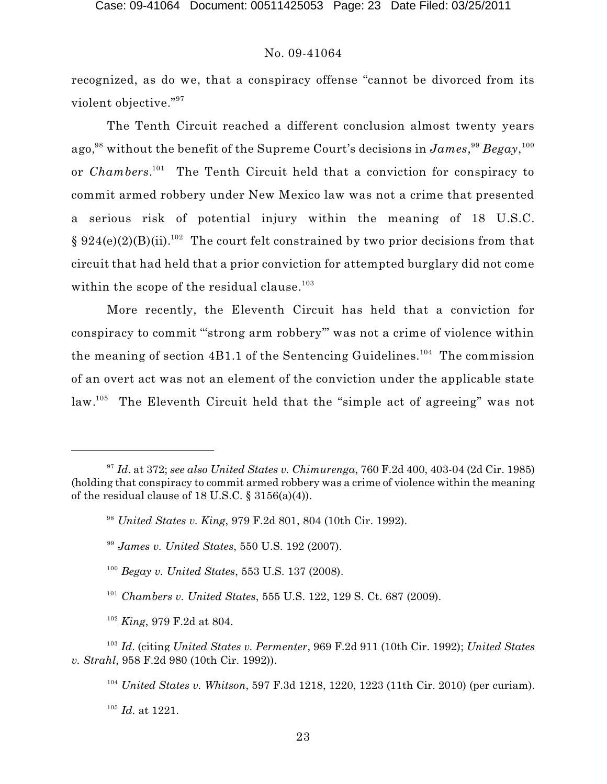recognized, as do we, that a conspiracy offense "cannot be divorced from its violent objective." 97

The Tenth Circuit reached a different conclusion almost twenty years ago, $^{98}$  without the benefit of the Supreme Court's decisions in  $James, ^{99}Begay, ^{100}$ or *Chambers*.<sup>101</sup> The Tenth Circuit held that a conviction for conspiracy to commit armed robbery under New Mexico law was not a crime that presented a serious risk of potential injury within the meaning of 18 U.S.C. § 924(e)(2)(B)(ii).<sup>102</sup> The court felt constrained by two prior decisions from that circuit that had held that a prior conviction for attempted burglary did not come within the scope of the residual clause. 103

More recently, the Eleventh Circuit has held that a conviction for conspiracy to commit "'strong arm robbery'" was not a crime of violence within the meaning of section 4B1.1 of the Sentencing Guidelines.<sup>104</sup> The commission of an overt act was not an element of the conviction under the applicable state law.<sup>105</sup> The Eleventh Circuit held that the "simple act of agreeing" was not

<sup>101</sup> Chambers v. United States, 555 U.S. 122, 129 S. Ct. 687 (2009).

<sup>102</sup> *King*, 979 F.2d at 804.

<sup>103</sup> Id. (citing *United States v. Permenter*, 969 F.2d 911 (10th Cir. 1992); *United States v. Strahl*, 958 F.2d 980 (10th Cir. 1992)).

<sup>104</sup> United States v. Whitson, 597 F.3d 1218, 1220, 1223 (11th Cir. 2010) (per curiam).

 $^{105}$  *Id.* at 1221.

*Id*. at 372; *see also United States v. Chimurenga*, 760 F.2d 400, 403-04 (2d Cir. 1985) <sup>97</sup> (holding that conspiracy to commit armed robbery was a crime of violence within the meaning of the residual clause of 18 U.S.C.  $\S$  3156(a)(4)).

<sup>&</sup>lt;sup>98</sup> United States v. King, 979 F.2d 801, 804 (10th Cir. 1992).

*James v. United States*, 550 U.S. 192 (2007). 99

<sup>&</sup>lt;sup>100</sup> Begay v. United States, 553 U.S. 137 (2008).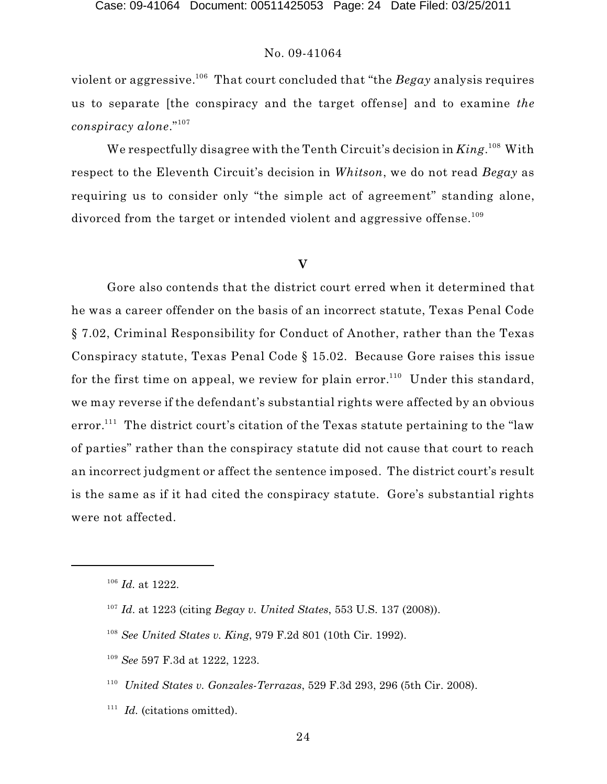violent or aggressive. $^{106}$  That court concluded that "the  $\emph{Begay}$  analysis requires us to separate [the conspiracy and the target offense] and to examine *the conspiracy alone*." 107

We respectfully disagree with the Tenth Circuit's decision in *King*.<sup>108</sup> With respect to the Eleventh Circuit's decision in *Whitson*, we do not read *Begay* as requiring us to consider only "the simple act of agreement" standing alone, divorced from the target or intended violent and aggressive offense.<sup>109</sup>

# **V**

Gore also contends that the district court erred when it determined that he was a career offender on the basis of an incorrect statute, Texas Penal Code § 7.02, Criminal Responsibility for Conduct of Another, rather than the Texas Conspiracy statute, Texas Penal Code § 15.02. Because Gore raises this issue for the first time on appeal, we review for plain error.<sup>110</sup> Under this standard, we may reverse if the defendant's substantial rights were affected by an obvious  $error.^{111}$  The district court's citation of the Texas statute pertaining to the "law of parties" rather than the conspiracy statute did not cause that court to reach an incorrect judgment or affect the sentence imposed. The district court's result is the same as if it had cited the conspiracy statute. Gore's substantial rights were not affected.

- *United States v. Gonzales-Terrazas*, 529 F.3d 293, 296 (5th Cir. 2008). 110
- $111$  *Id.* (citations omitted).

 $^{106}$  *Id.* at 1222.

<sup>&</sup>lt;sup>107</sup> Id. at 1223 (citing *Begay v. United States*, 553 U.S. 137 (2008)).

<sup>&</sup>lt;sup>108</sup> See United States v. King, 979 F.2d 801 (10th Cir. 1992).

<sup>&</sup>lt;sup>109</sup> See 597 F.3d at 1222, 1223.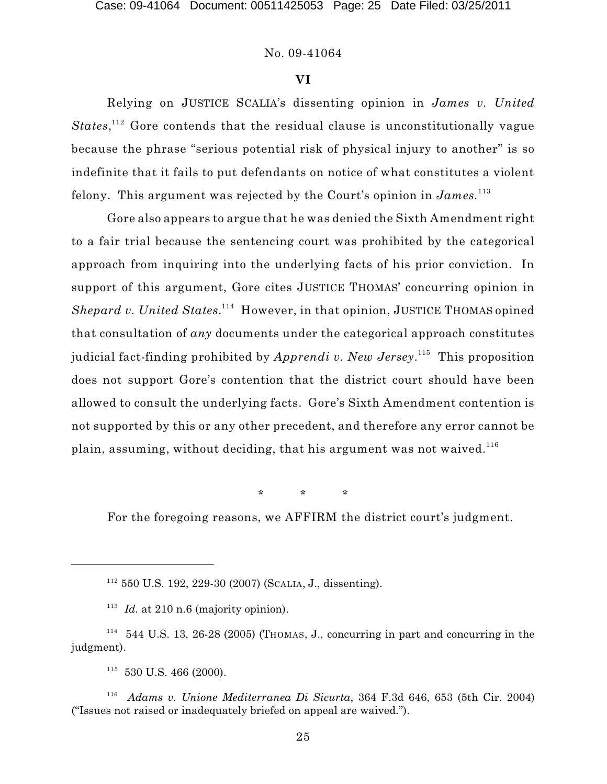Case: 09-41064 Document: 00511425053 Page: 25 Date Filed: 03/25/2011

#### No. 09-41064

#### **VI**

Relying on JUSTICE SCALIA's dissenting opinion in *James v. United*  $States,$ <sup>112</sup> Gore contends that the residual clause is unconstitutionally vague because the phrase "serious potential risk of physical injury to another" is so indefinite that it fails to put defendants on notice of what constitutes a violent felony. This argument was rejected by the Court's opinion in *James.* 113

Gore also appears to argue that he was denied the Sixth Amendment right to a fair trial because the sentencing court was prohibited by the categorical approach from inquiring into the underlying facts of his prior conviction. In support of this argument, Gore cites JUSTICE THOMAS' concurring opinion in Shepard v. United States.<sup>114</sup> However, in that opinion, JUSTICE THOMAS opined that consultation of *any* documents under the categorical approach constitutes judicial fact-finding prohibited by *Apprendi v. New Jersey*.<sup>115</sup> This proposition does not support Gore's contention that the district court should have been allowed to consult the underlying facts. Gore's Sixth Amendment contention is not supported by this or any other precedent, and therefore any error cannot be plain, assuming, without deciding, that his argument was not waived.  $^{116}$ 

\* \* \*

For the foregoing reasons, we AFFIRM the district court's judgment.

 $112$  550 U.S. 192, 229-30 (2007) (SCALIA, J., dissenting).

 $113$  *Id.* at 210 n.6 (majority opinion).

 $114$  544 U.S. 13, 26-28 (2005) (Thomas, J., concurring in part and concurring in the judgment).

 $115$  530 U.S. 466 (2000).

<sup>&</sup>lt;sup>116</sup> Adams *v. Unione Mediterranea Di Sicurta*, 364 F.3d 646, 653 (5th Cir. 2004) ("Issues not raised or inadequately briefed on appeal are waived.").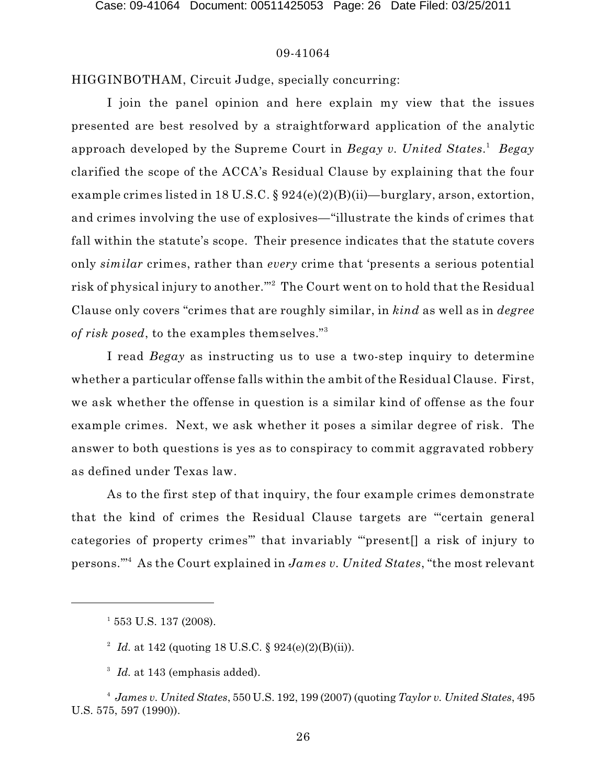HIGGINBOTHAM, Circuit Judge, specially concurring:

I join the panel opinion and here explain my view that the issues presented are best resolved by a straightforward application of the analytic approach developed by the Supreme Court in *Begay v. United States*. *Begay* 1 clarified the scope of the ACCA's Residual Clause by explaining that the four example crimes listed in 18 U.S.C. § 924(e)(2)(B)(ii)—burglary, arson, extortion, and crimes involving the use of explosives—"illustrate the kinds of crimes that fall within the statute's scope. Their presence indicates that the statute covers only *similar* crimes, rather than *every* crime that 'presents a serious potential risk of physical injury to another.""<sup>2</sup> The Court went on to hold that the Residual Clause only covers "crimes that are roughly similar, in *kind* as well as in *degree of risk posed*, to the examples themselves." 3

I read *Begay* as instructing us to use a two-step inquiry to determine whether a particular offense falls within the ambit of the Residual Clause. First, we ask whether the offense in question is a similar kind of offense as the four example crimes. Next, we ask whether it poses a similar degree of risk. The answer to both questions is yes as to conspiracy to commit aggravated robbery as defined under Texas law.

As to the first step of that inquiry, the four example crimes demonstrate that the kind of crimes the Residual Clause targets are "'certain general categories of property crimes'" that invariably "'present[] a risk of injury to persons.'" As the Court explained in *James v. United States*, "the most relevant 4

 $1\,553$  U.S. 137 (2008).

<sup>&</sup>lt;sup>2</sup> *Id.* at 142 (quoting 18 U.S.C. § 924(e)(2)(B)(ii)).

<sup>&</sup>lt;sup>3</sup> Id. at 143 (emphasis added).

*James v. United States*, 550 U.S. 192, 199 (2007) (quoting *Taylor v. United States*, 495 <sup>4</sup> U.S. 575, 597 (1990)).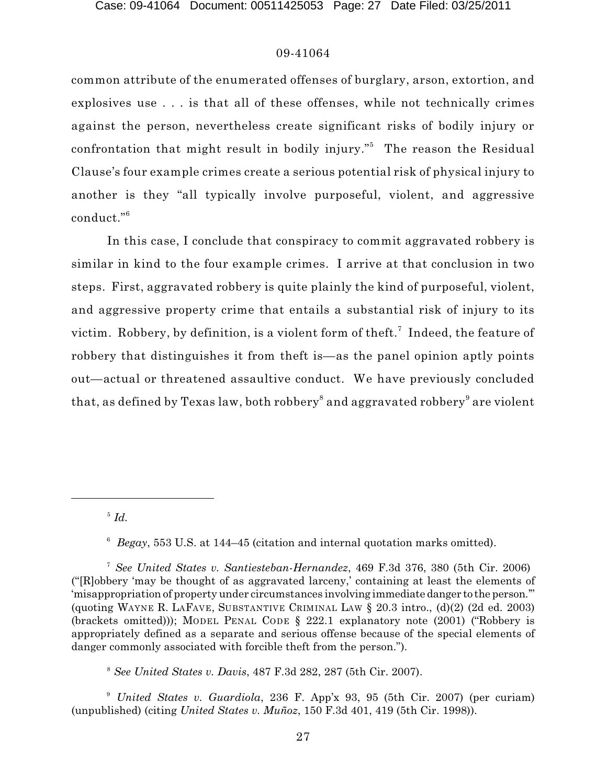common attribute of the enumerated offenses of burglary, arson, extortion, and explosives use . . . is that all of these offenses, while not technically crimes against the person, nevertheless create significant risks of bodily injury or confrontation that might result in bodily injury."<sup>5</sup> The reason the Residual Clause's four example crimes create a serious potential risk of physical injury to another is they "all typically involve purposeful, violent, and aggressive conduct." 6

In this case, I conclude that conspiracy to commit aggravated robbery is similar in kind to the four example crimes. I arrive at that conclusion in two steps. First, aggravated robbery is quite plainly the kind of purposeful, violent, and aggressive property crime that entails a substantial risk of injury to its victim. Robbery, by definition, is a violent form of theft.<sup>7</sup> Indeed, the feature of robbery that distinguishes it from theft is—as the panel opinion aptly points out—actual or threatened assaultive conduct. We have previously concluded that, as defined by Texas law, both robbery $^{\rm 8}$  and aggravated robbery $^{\rm 9}$  are violent

 $\overline{\phantom{a}}^5$  *Id.* 

<sup>6</sup> Begay, 553 U.S. at 144–45 (citation and internal quotation marks omitted).

*See United States v. Santiesteban-Hernandez*, 469 F.3d 376, 380 (5th Cir. 2006) <sup>7</sup> ("[R]obbery 'may be thought of as aggravated larceny,' containing at least the elements of 'misappropriation of property under circumstances involving immediate danger to the person.'" (quoting WAYNE R. LAFAVE, SUBSTANTIVE CRIMINAL LAW  $\S$  20.3 intro., (d)(2) (2d ed. 2003) (brackets omitted))); MODEL PENAL CODE § 222.1 explanatory note (2001) ("Robbery is appropriately defined as a separate and serious offense because of the special elements of danger commonly associated with forcible theft from the person.").

*See United States v. Davis*, 487 F.3d 282, 287 (5th Cir. 2007). 8

*United States v. Guardiola*, 236 F. App'x 93, 95 (5th Cir. 2007) (per curiam) 9 (unpublished) (citing *United States v. Muñoz*, 150 F.3d 401, 419 (5th Cir. 1998)).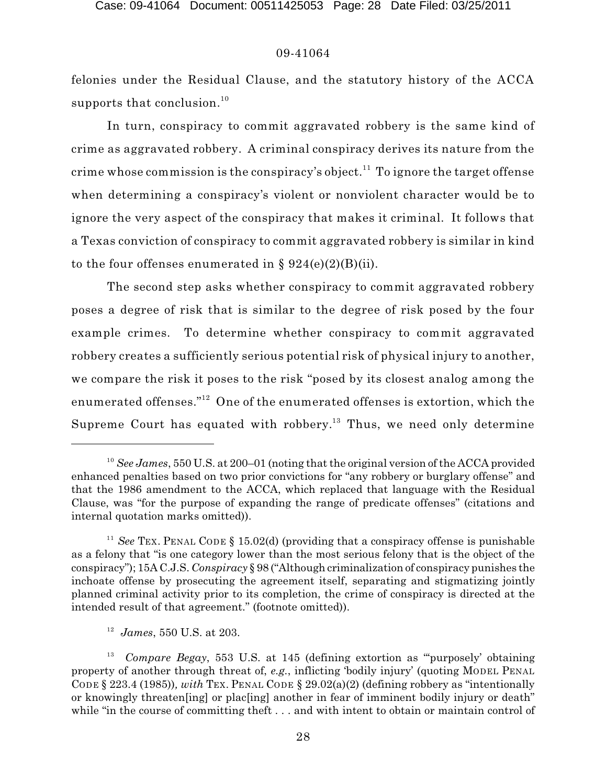felonies under the Residual Clause, and the statutory history of the ACCA supports that conclusion.<sup>10</sup>

In turn, conspiracy to commit aggravated robbery is the same kind of crime as aggravated robbery. A criminal conspiracy derives its nature from the crime whose commission is the conspiracy's object. $^{11}$  To ignore the target offense when determining a conspiracy's violent or nonviolent character would be to ignore the very aspect of the conspiracy that makes it criminal. It follows that a Texas conviction of conspiracy to commit aggravated robbery is similar in kind to the four offenses enumerated in  $\S 924(e)(2)(B)(ii)$ .

The second step asks whether conspiracy to commit aggravated robbery poses a degree of risk that is similar to the degree of risk posed by the four example crimes. To determine whether conspiracy to commit aggravated robbery creates a sufficiently serious potential risk of physical injury to another, we compare the risk it poses to the risk "posed by its closest analog among the enumerated offenses." $^{12}$  One of the enumerated offenses is extortion, which the Supreme Court has equated with robbery.<sup>13</sup> Thus, we need only determine

<sup>&</sup>lt;sup>10</sup> See James, 550 U.S. at 200–01 (noting that the original version of the ACCA provided enhanced penalties based on two prior convictions for "any robbery or burglary offense" and that the 1986 amendment to the ACCA, which replaced that language with the Residual Clause, was "for the purpose of expanding the range of predicate offenses" (citations and internal quotation marks omitted)).

<sup>&</sup>lt;sup>11</sup> See TEX. PENAL CODE  $\S$  15.02(d) (providing that a conspiracy offense is punishable as a felony that "is one category lower than the most serious felony that is the object of the conspiracy"); 15A C.J.S. *Conspiracy* § 98 ("Although criminalization of conspiracy punishes the inchoate offense by prosecuting the agreement itself, separating and stigmatizing jointly planned criminal activity prior to its completion, the crime of conspiracy is directed at the intended result of that agreement." (footnote omitted)).

<sup>&</sup>lt;sup>12</sup> James, 550 U.S. at 203.

<sup>&</sup>lt;sup>13</sup> Compare Begay, 553 U.S. at 145 (defining extortion as "purposely' obtaining property of another through threat of, *e.g.*, inflicting 'bodily injury' (quoting MODEL PENAL CODE § 223.4 (1985))*, with* TEX. PENAL CODE § 29.02(a)(2) (defining robbery as "intentionally or knowingly threaten[ing] or plac[ing] another in fear of imminent bodily injury or death" while "in the course of committing theft . . . and with intent to obtain or maintain control of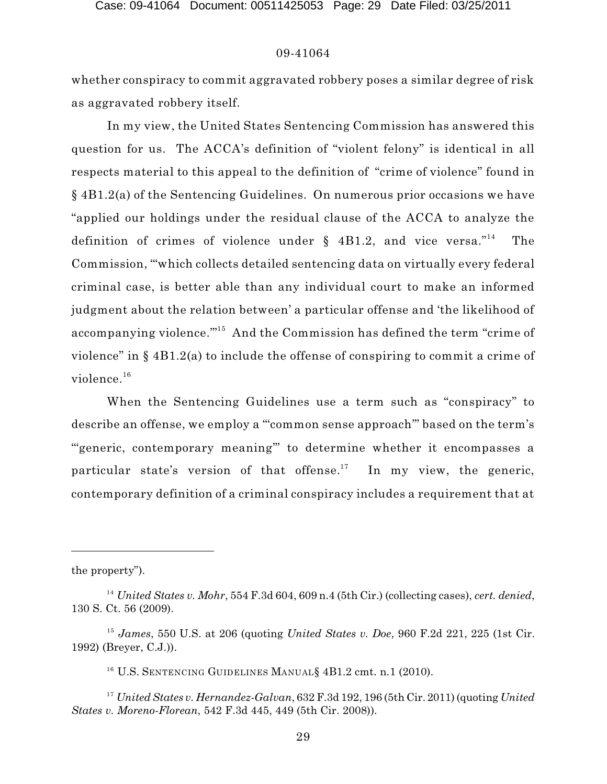whether conspiracy to commit aggravated robbery poses a similar degree of risk as aggravated robbery itself.

In my view, the United States Sentencing Commission has answered this question for us. The ACCA's definition of "violent felony" is identical in all respects material to this appeal to the definition of "crime of violence" found in § 4B1.2(a) of the Sentencing Guidelines. On numerous prior occasions we have "applied our holdings under the residual clause of the ACCA to analyze the definition of crimes of violence under  $\S$  4B1.2, and vice versa."<sup>14</sup> The Commission, "'which collects detailed sentencing data on virtually every federal criminal case, is better able than any individual court to make an informed judgment about the relation between' a particular offense and 'the likelihood of accompanying violence."  $^{15}$  And the Commission has defined the term "crime of violence" in § 4B1.2(a) to include the offense of conspiring to commit a crime of  $\rm{violet.}^{16}$ 

When the Sentencing Guidelines use a term such as "conspiracy" to describe an offense, we employ a "'common sense approach'" based on the term's "'generic, contemporary meaning'" to determine whether it encompasses a particular state's version of that offense.<sup>17</sup> In my view, the generic, contemporary definition of a criminal conspiracy includes a requirement that at

the property").

*United States v. Mohr*, 554 F.3d 604, 609 n.4 (5th Cir.) (collecting cases), *cert. denied*, 14 130 S. Ct. 56 (2009).

<sup>&</sup>lt;sup>15</sup> James, 550 U.S. at 206 (quoting *United States v. Doe*, 960 F.2d 221, 225 (1st Cir. 1992) (Breyer, C.J.)).

 $^{16}$  U.S. Sentencing Guidelines Manual § 4B1.2 cmt. n.1 (2010).

*United States v. Hernandez-Galvan*, 632 F.3d 192, 196 (5th Cir. 2011) (quoting *United* <sup>17</sup> *States v. Moreno-Florean*, 542 F.3d 445, 449 (5th Cir. 2008)).